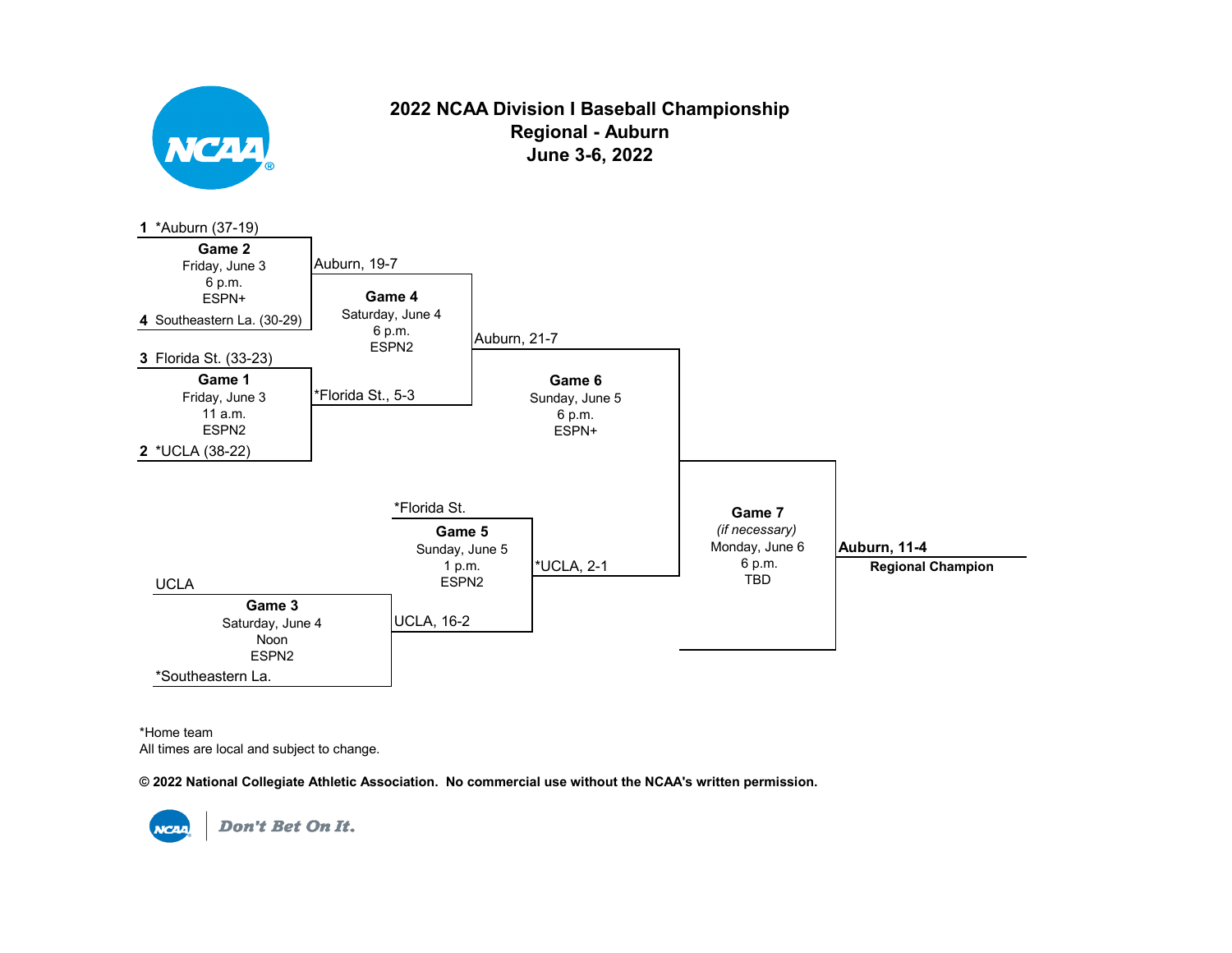

## **2022 NCAA Division I Baseball Championship Regional - Auburn June 3-6, 2022**



\*Home team All times are local and subject to change.

**© 2022 National Collegiate Athletic Association. No commercial use without the NCAA's written permission.** 

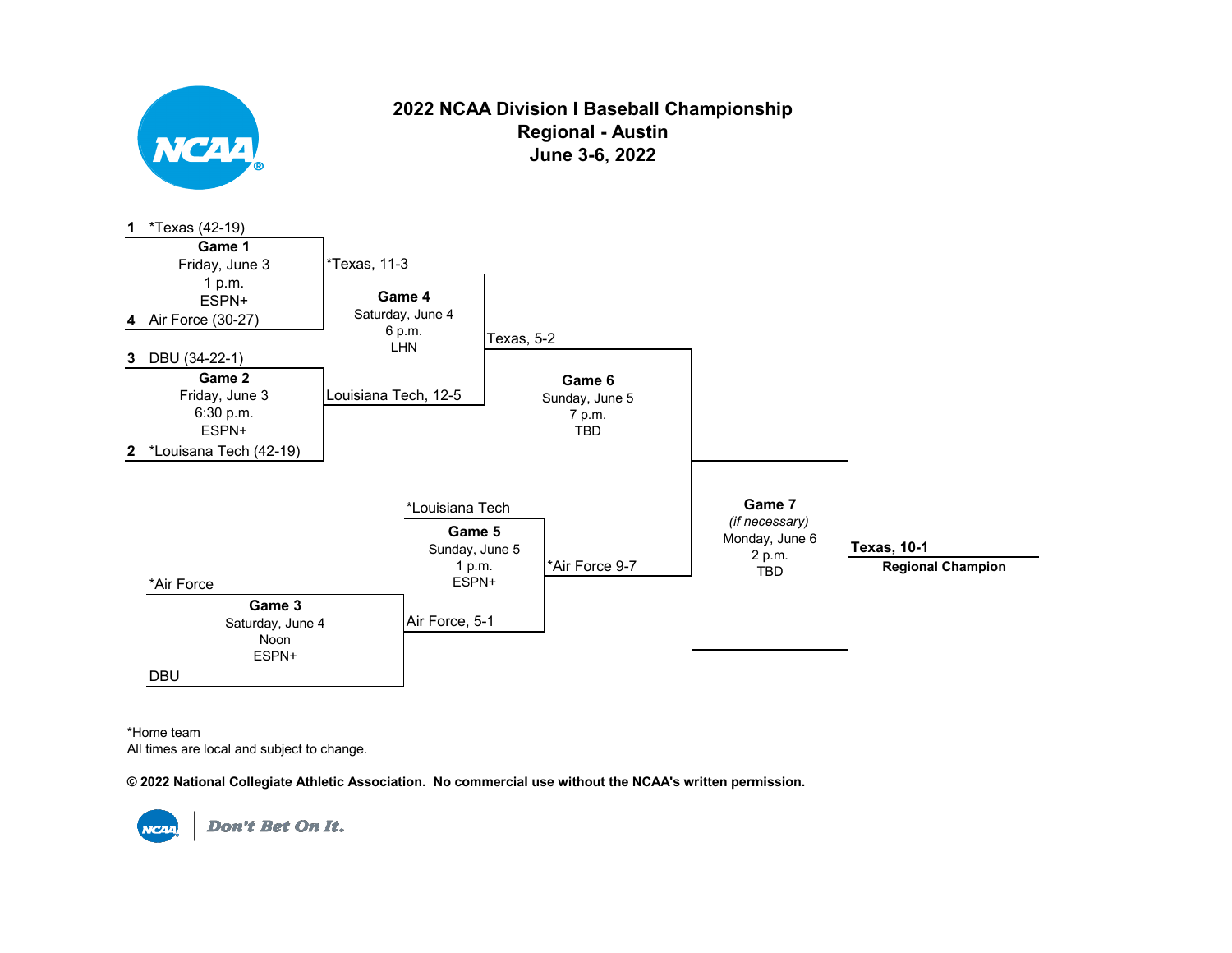

## **2022 NCAA Division I Baseball Championship Regional - Austin June 3-6, 2022**



\*Home team All times are local and subject to change.

**© 2022 National Collegiate Athletic Association. No commercial use without the NCAA's written permission.**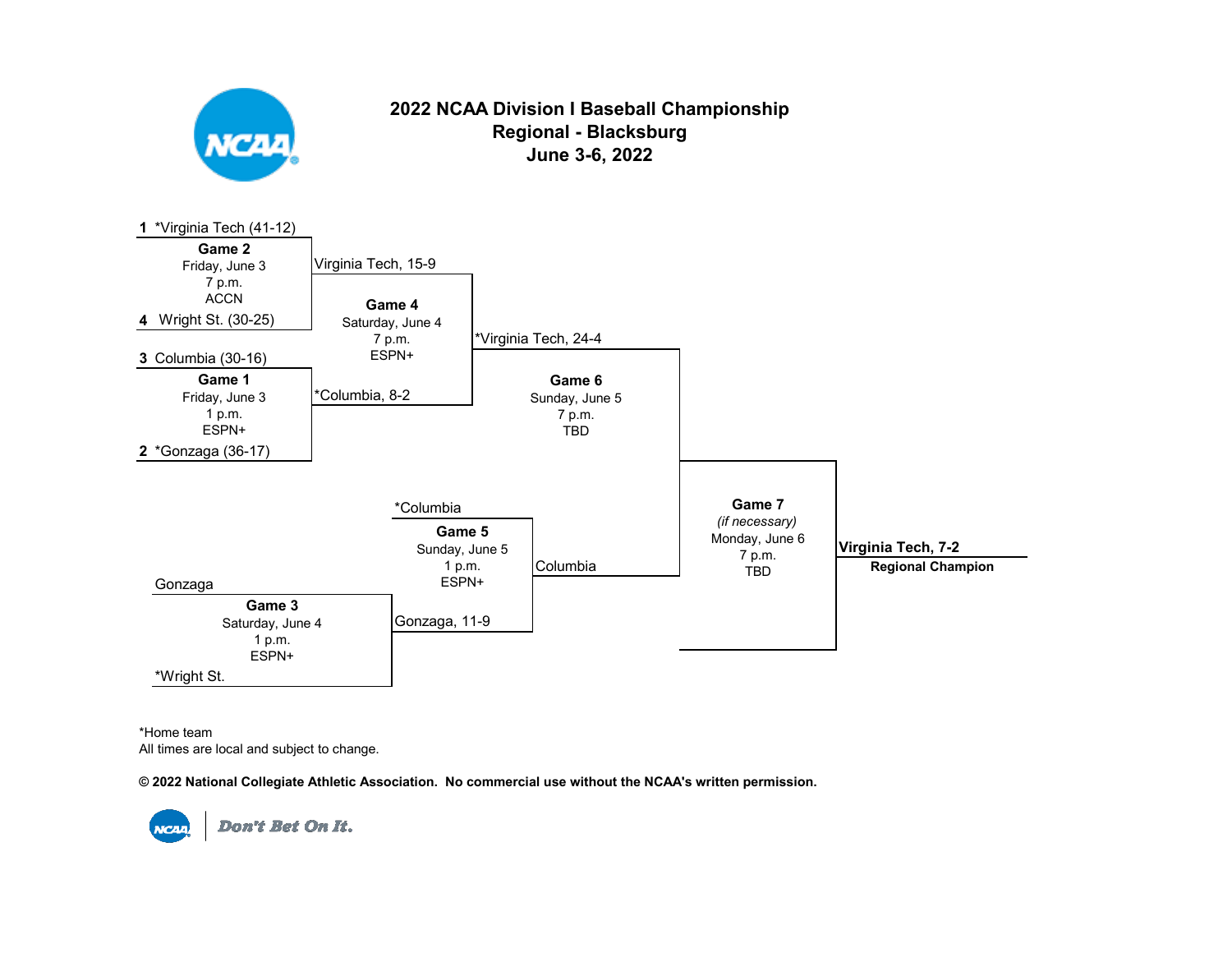

# **2022 NCAA Division I Baseball Championship Regional - Blacksburg June 3-6, 2022**



\*Home team All times are local and subject to change.

**© 2022 National Collegiate Athletic Association. No commercial use without the NCAA's written permission.**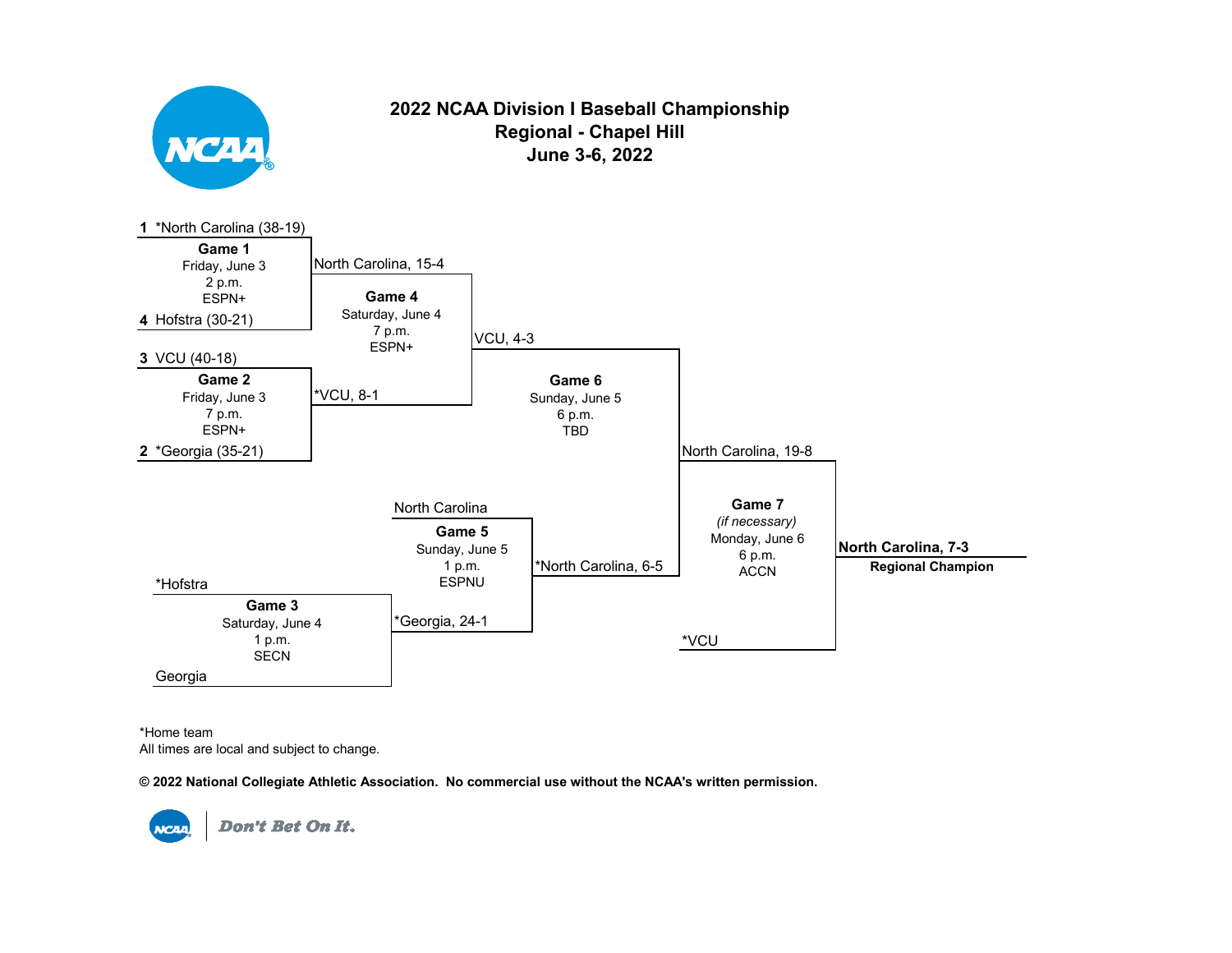

## **2022 NCAA Division I Baseball Championship Regional - Chapel Hill June 3-6, 2022**



\*Home team All times are local and subject to change.

**© 2022 National Collegiate Athletic Association. No commercial use without the NCAA's written permission.** 

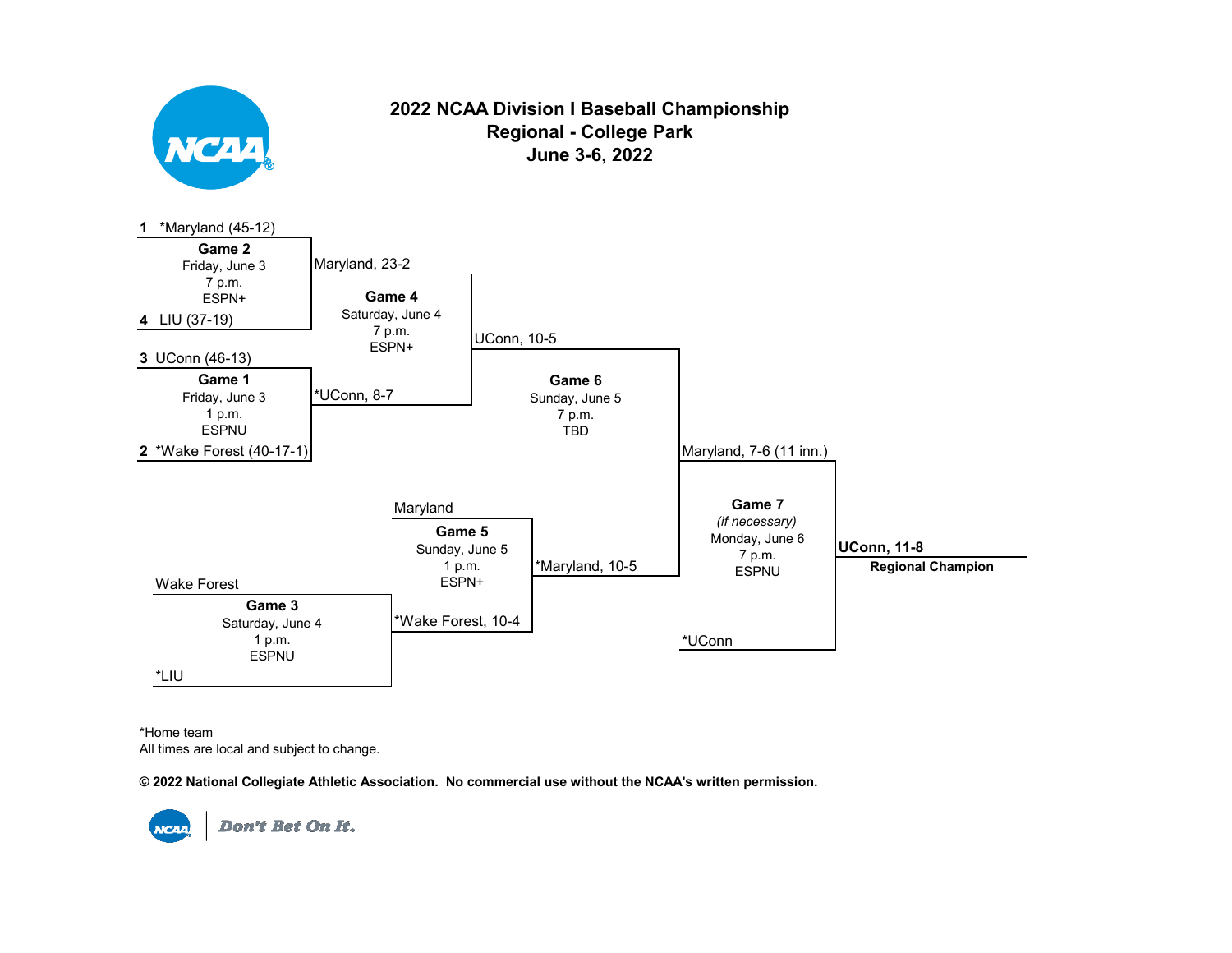

\*Home team All times are local and subject to change.

**© 2022 National Collegiate Athletic Association. No commercial use without the NCAA's written permission.** 

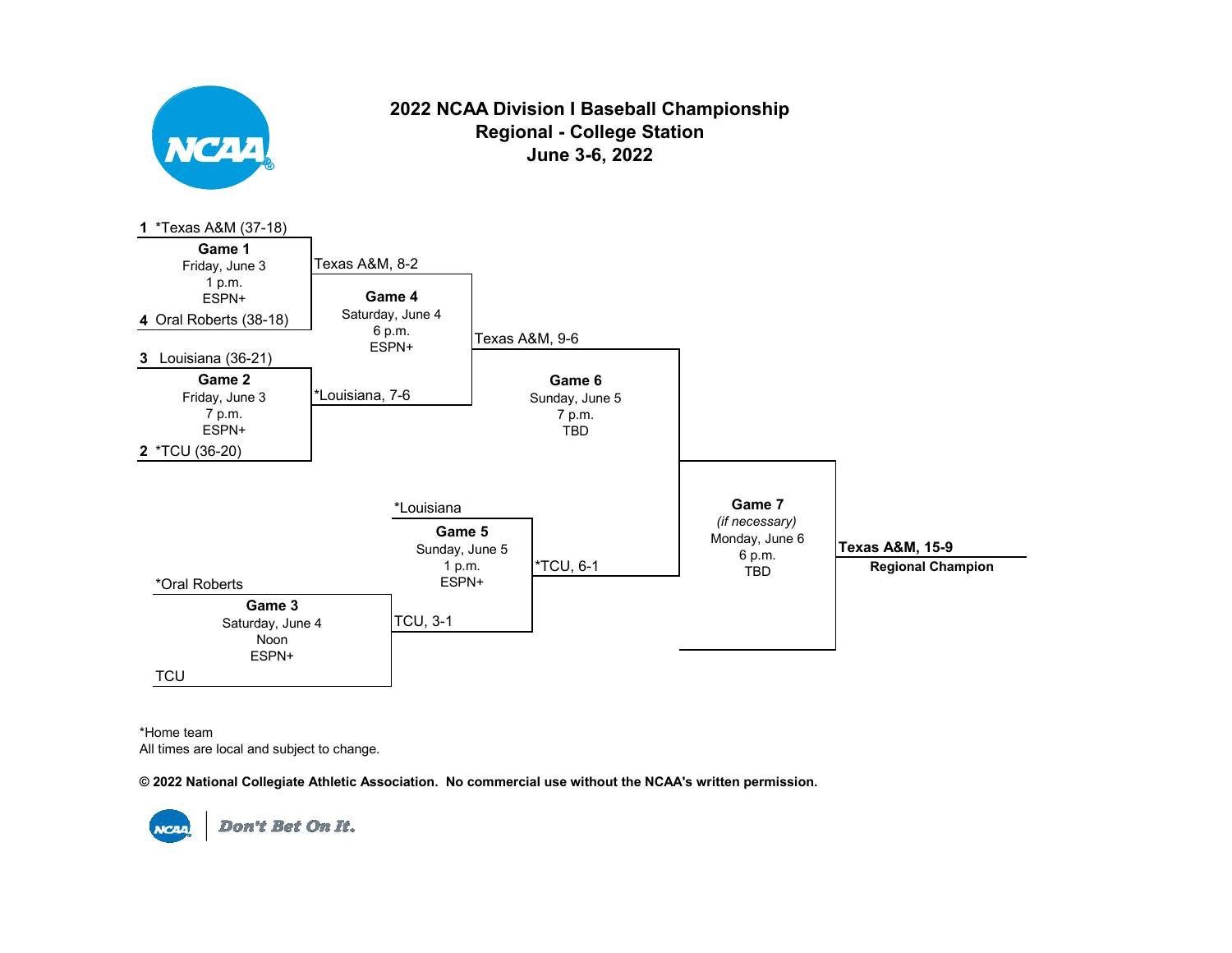

\*Home team All times are local and subject to change.

**© 2022 National Collegiate Athletic Association. No commercial use without the NCAA's written permission.** 

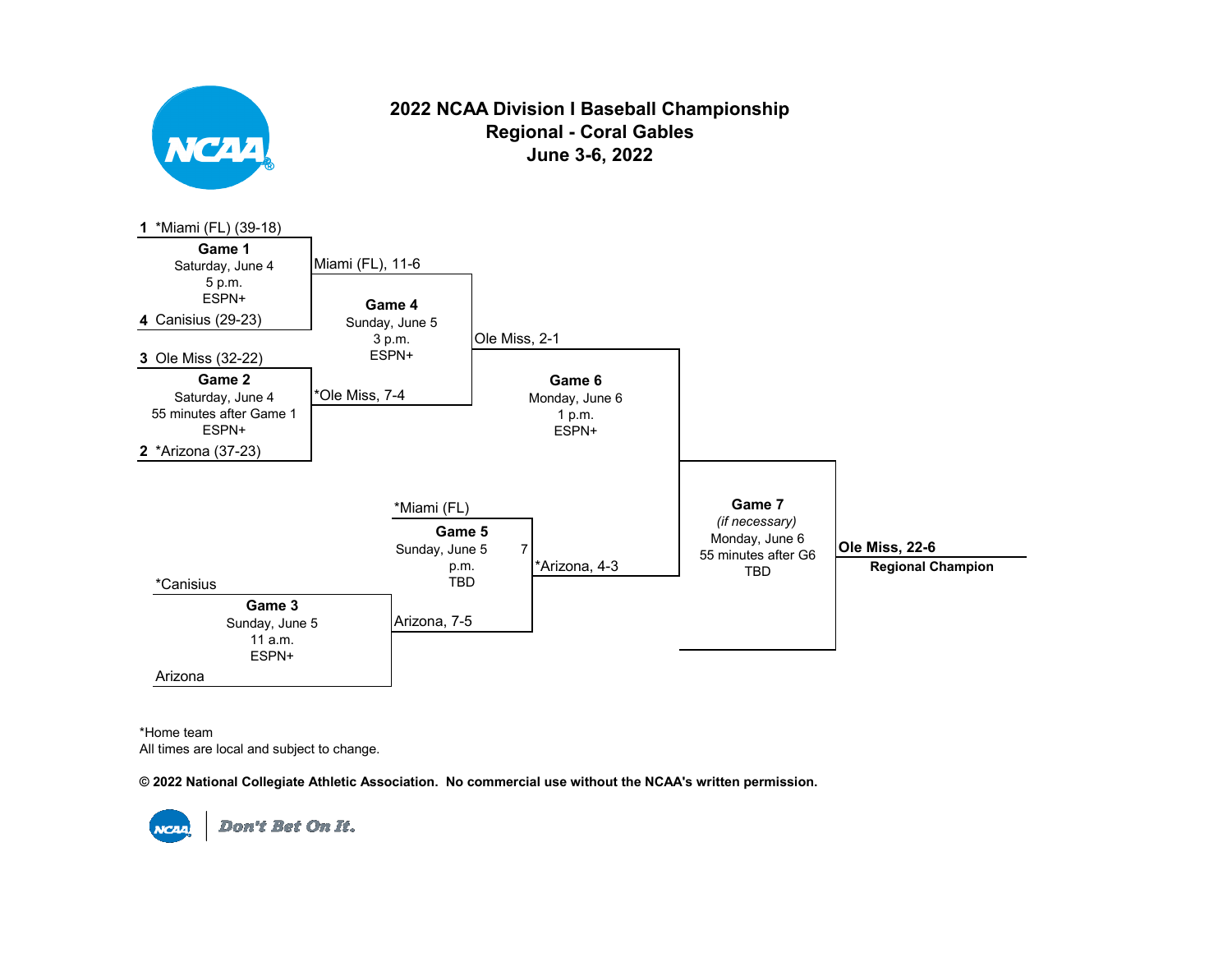

## **2022 NCAA Division I Baseball Championship Regional - Coral Gables June 3-6, 2022**



\*Home team All times are local and subject to change.

**© 2022 National Collegiate Athletic Association. No commercial use without the NCAA's written permission.** 

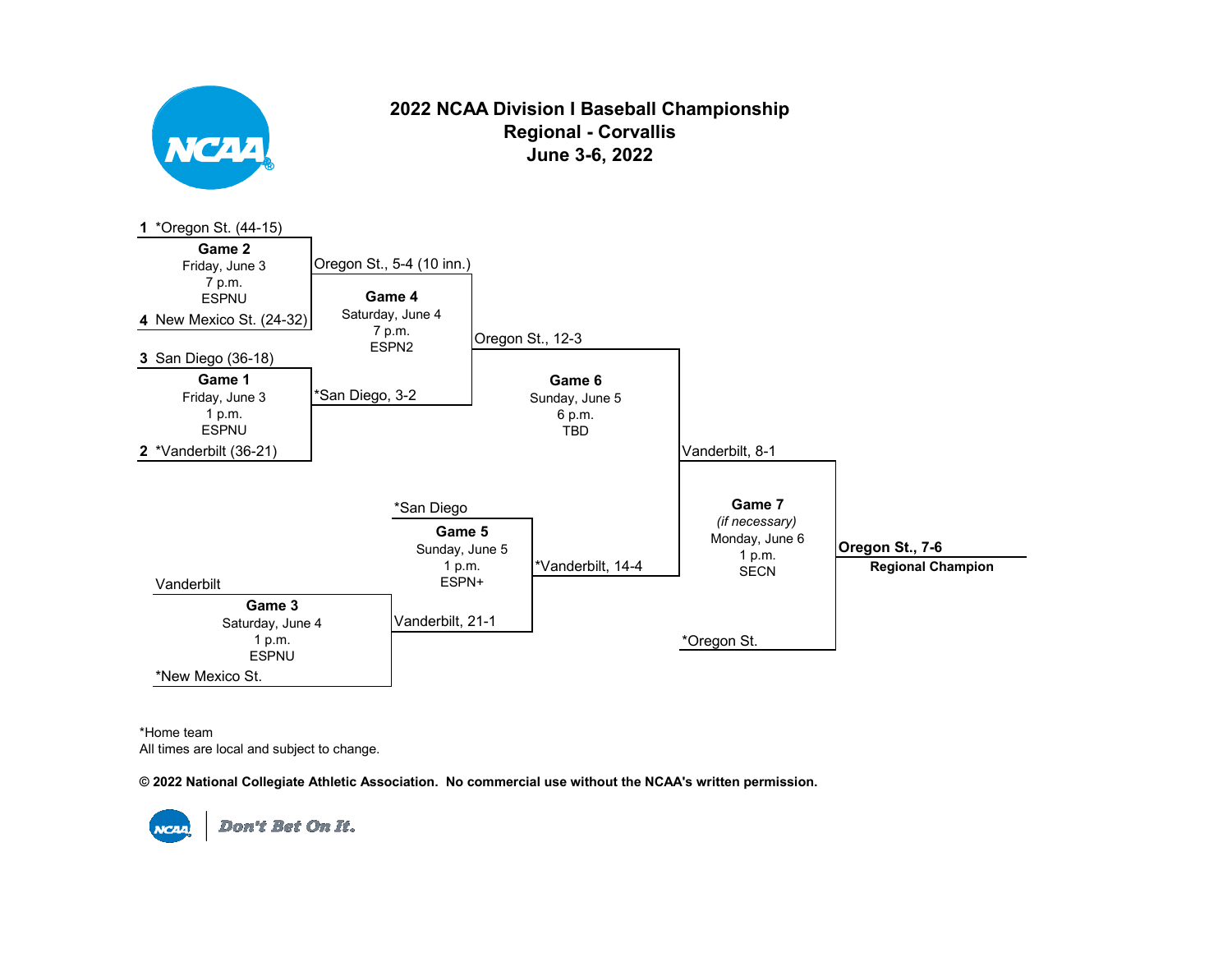

## **2022 NCAA Division I Baseball Championship Regional - Corvallis June 3-6, 2022**



\*Home team All times are local and subject to change.

**© 2022 National Collegiate Athletic Association. No commercial use without the NCAA's written permission.** 

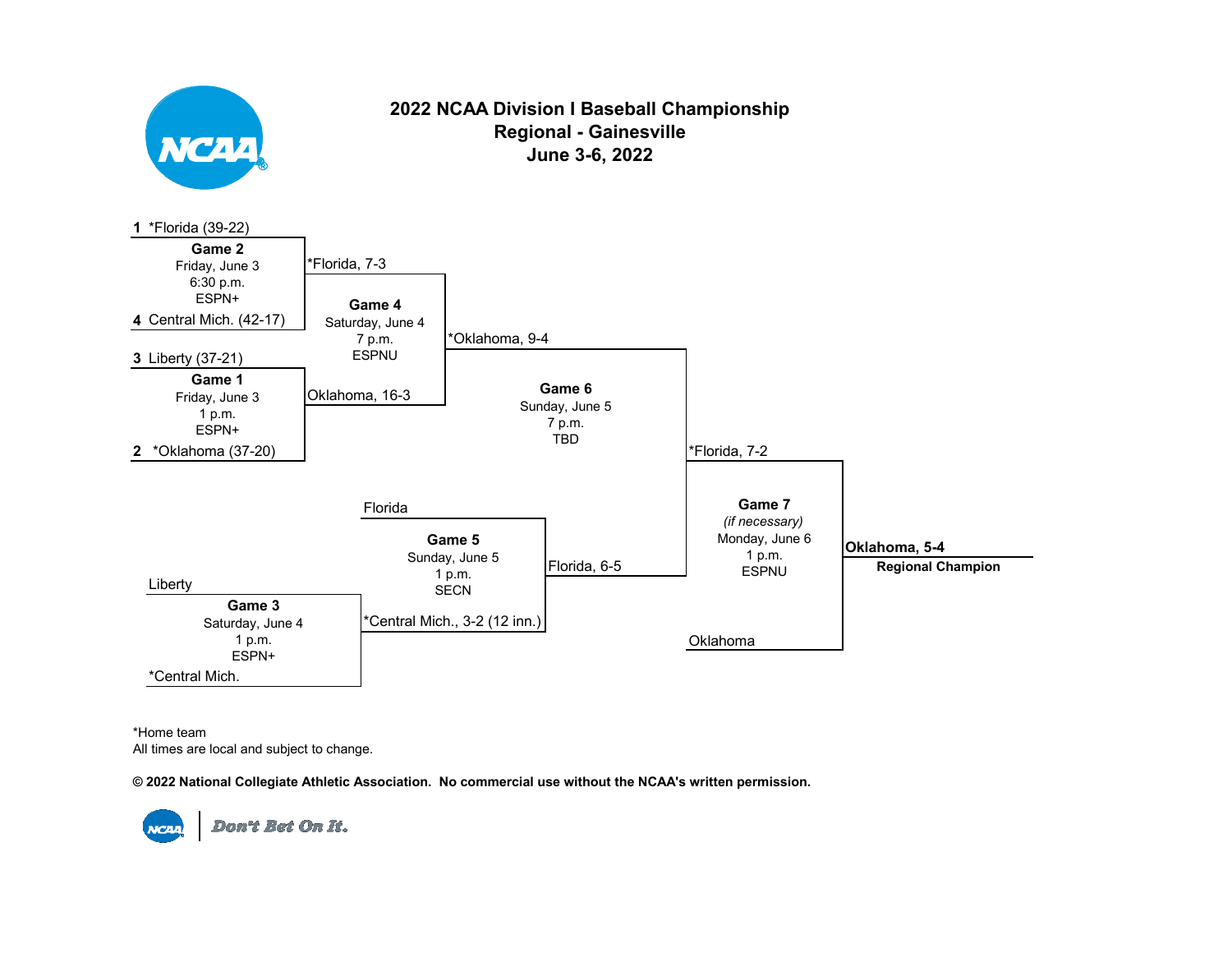

\*Home team All times are local and subject to change.

**© 2022 National Collegiate Athletic Association. No commercial use without the NCAA's written permission.**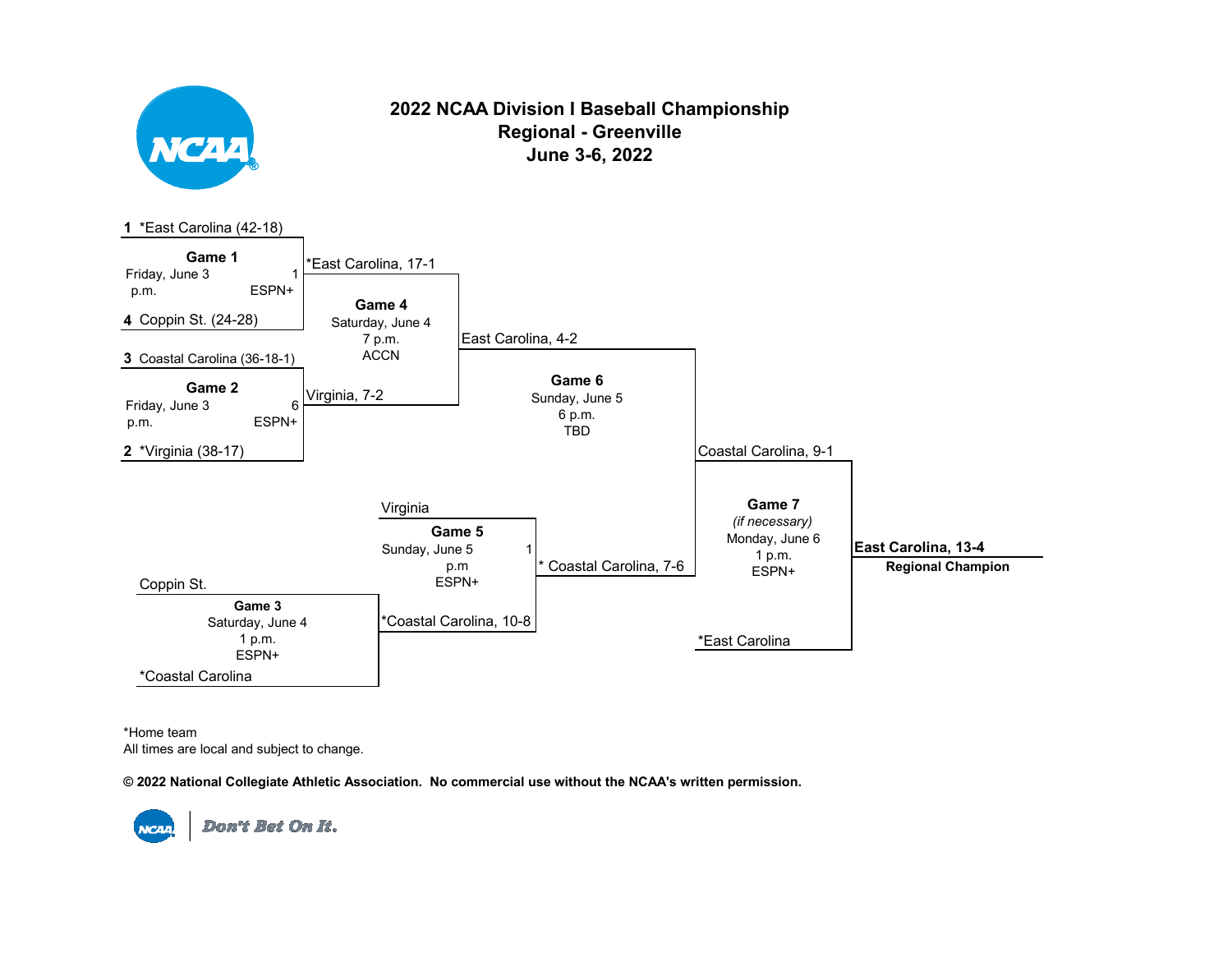

## **2022 NCAA Division I Baseball Championship Regional - Greenville June 3-6, 2022**



\*Home team All times are local and subject to change.

**© 2022 National Collegiate Athletic Association. No commercial use without the NCAA's written permission.**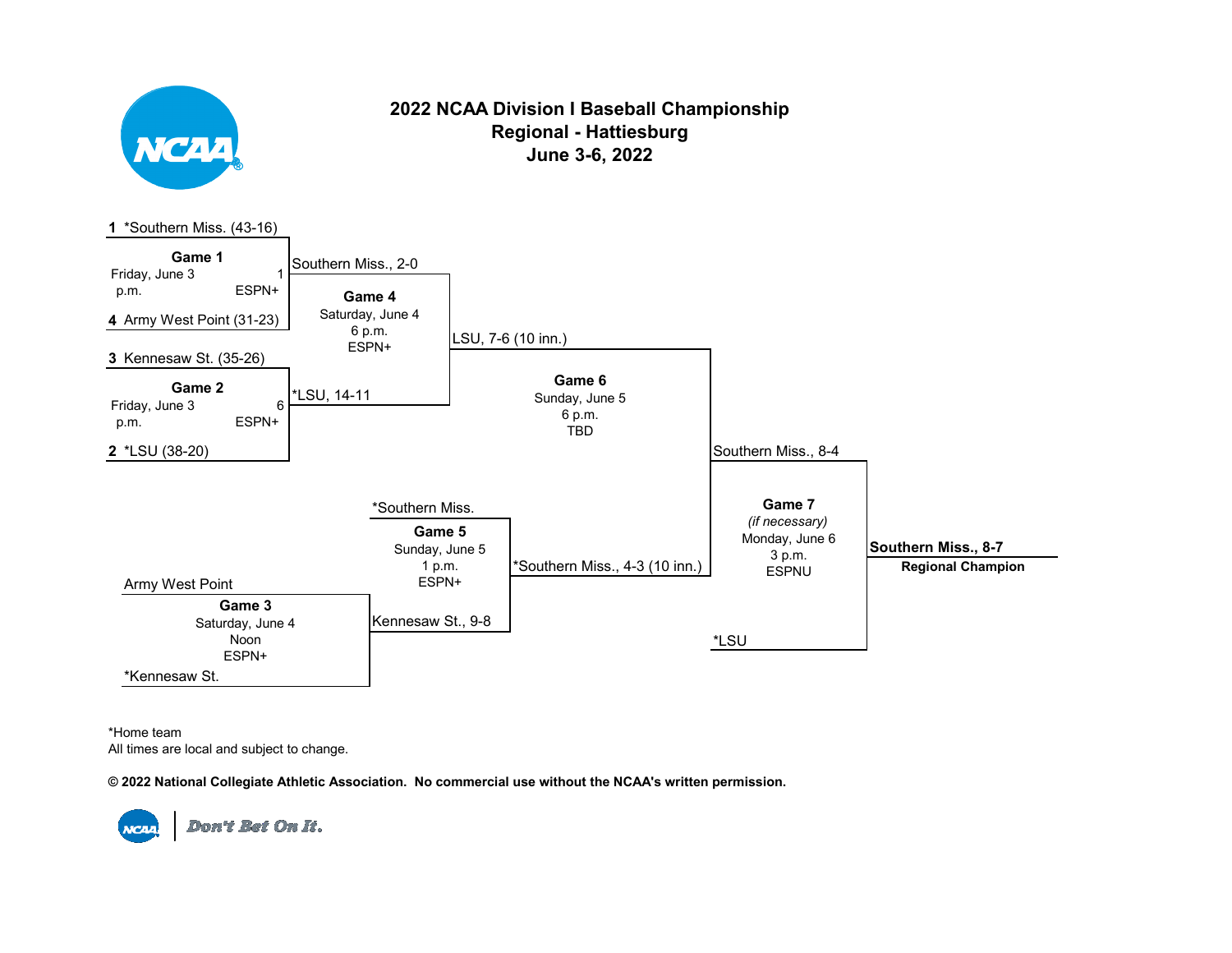

## **2022 NCAA Division I Baseball Championship Regional - Hattiesburg June 3-6, 2022**



\*Home team All times are local and subject to change.

**© 2022 National Collegiate Athletic Association. No commercial use without the NCAA's written permission.** 

**NCAA**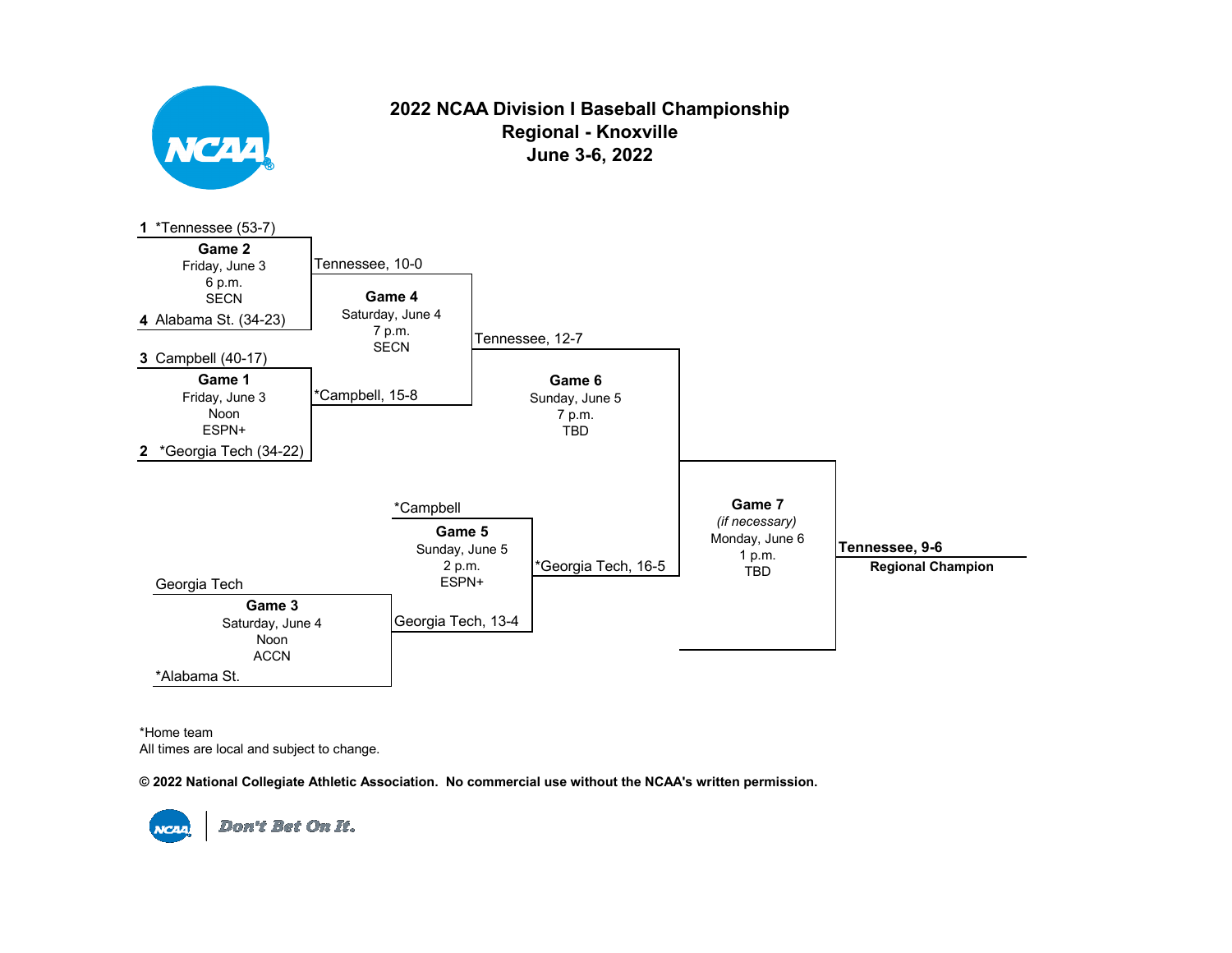



**June 3-6, 2022**

\*Home team All times are local and subject to change.

**© 2022 National Collegiate Athletic Association. No commercial use without the NCAA's written permission.** 

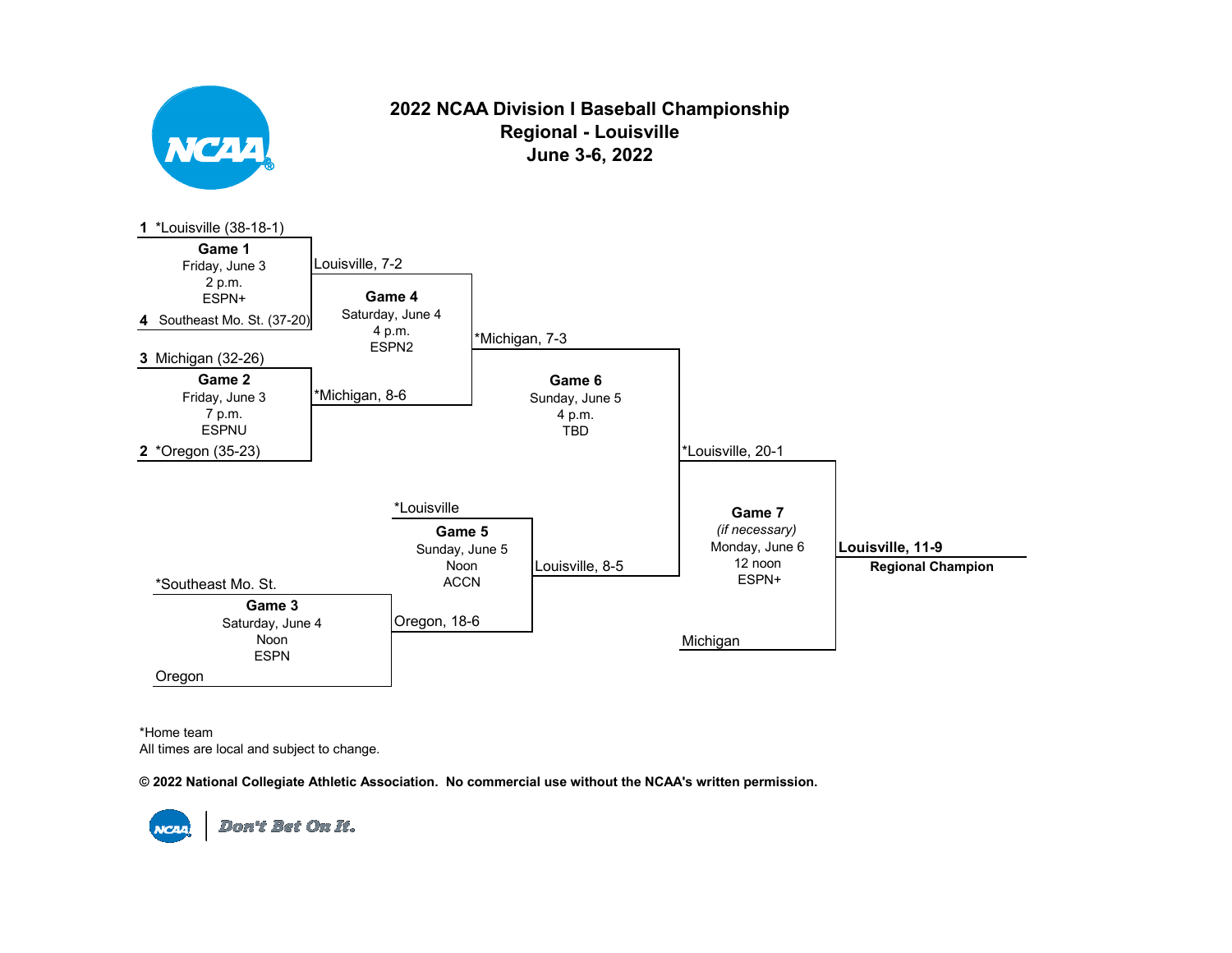

## **2022 NCAA Division I Baseball Championship Regional - Louisville June 3-6, 2022**



\*Home team All times are local and subject to change.

**© 2022 National Collegiate Athletic Association. No commercial use without the NCAA's written permission.** 

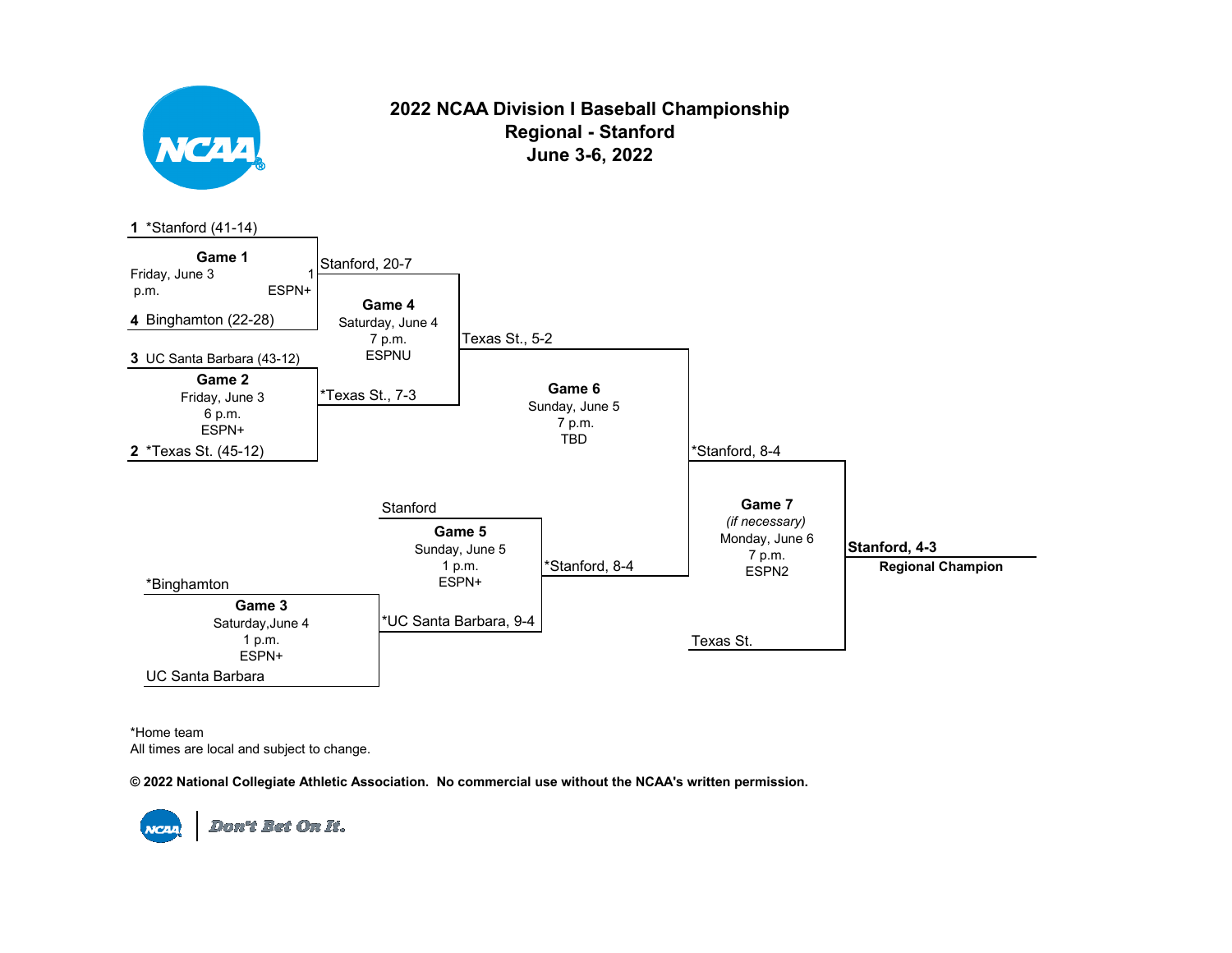

## **2022 NCAA Division I Baseball Championship Regional - Stanford June 3-6, 2022**



\*Home team All times are local and subject to change.

**© 2022 National Collegiate Athletic Association. No commercial use without the NCAA's written permission.**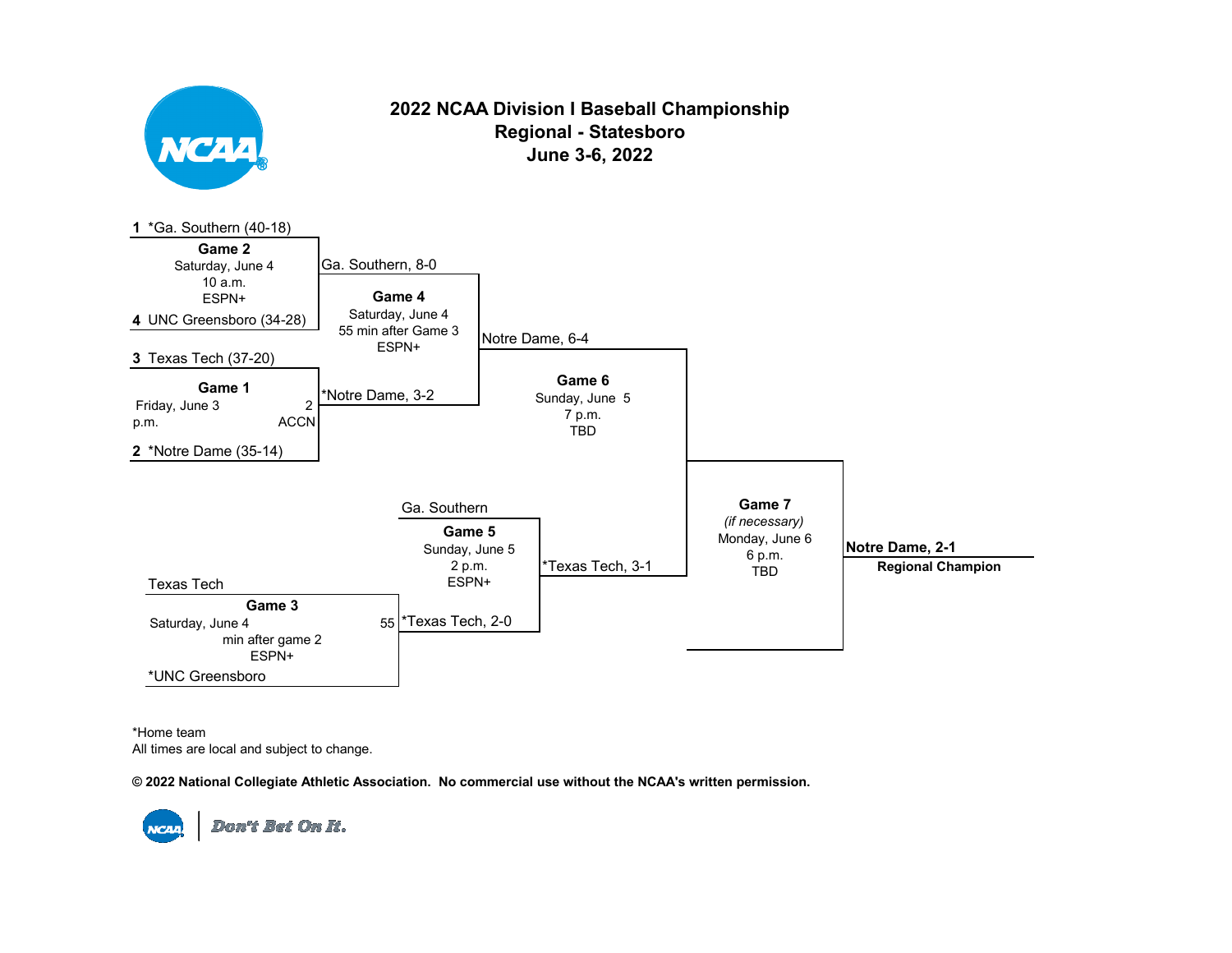

## **2022 NCAA Division I Baseball Championship Regional - Statesboro June 3-6, 2022**



\*Home team All times are local and subject to change.

**© 2022 National Collegiate Athletic Association. No commercial use without the NCAA's written permission.**